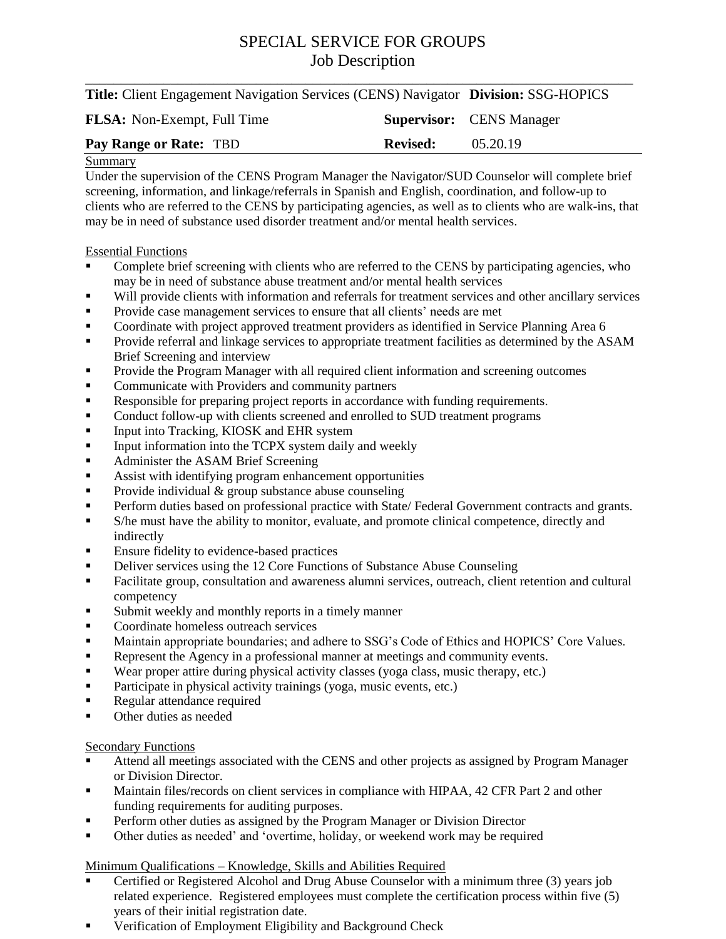# SPECIAL SERVICE FOR GROUPS Job Description

| <b>Title:</b> Client Engagement Navigation Services (CENS) Navigator <b>Division:</b> SSG-HOPICS |  |
|--------------------------------------------------------------------------------------------------|--|

| <b>FLSA:</b> Non-Exempt, Full Time |                 | <b>Supervisor:</b> CENS Manager |
|------------------------------------|-----------------|---------------------------------|
| Pay Range or Rate: TBD             | <b>Revised:</b> | 05.20.19                        |

#### Summary

Under the supervision of the CENS Program Manager the Navigator/SUD Counselor will complete brief screening, information, and linkage/referrals in Spanish and English, coordination, and follow-up to clients who are referred to the CENS by participating agencies, as well as to clients who are walk-ins, that may be in need of substance used disorder treatment and/or mental health services.

### Essential Functions

- **•** Complete brief screening with clients who are referred to the CENS by participating agencies, who may be in need of substance abuse treatment and/or mental health services
- Will provide clients with information and referrals for treatment services and other ancillary services
- Provide case management services to ensure that all clients' needs are met
- Coordinate with project approved treatment providers as identified in Service Planning Area 6
- **Provide referral and linkage services to appropriate treatment facilities as determined by the ASAM** Brief Screening and interview
- **Provide the Program Manager with all required client information and screening outcomes**
- Communicate with Providers and community partners
- Responsible for preparing project reports in accordance with funding requirements.
- Conduct follow-up with clients screened and enrolled to SUD treatment programs
- **Input into Tracking, KIOSK and EHR system**
- Input information into the TCPX system daily and weekly
- Administer the ASAM Brief Screening
- Assist with identifying program enhancement opportunities
- Provide individual  $\&$  group substance abuse counseling
- **Perform duties based on professional practice with State/ Federal Government contracts and grants.**
- S/he must have the ability to monitor, evaluate, and promote clinical competence, directly and indirectly
- **Ensure fidelity to evidence-based practices**
- Deliver services using the 12 Core Functions of Substance Abuse Counseling
- Facilitate group, consultation and awareness alumni services, outreach, client retention and cultural competency
- Submit weekly and monthly reports in a timely manner
- Coordinate homeless outreach services
- Maintain appropriate boundaries; and adhere to SSG's Code of Ethics and HOPICS' Core Values.
- Represent the Agency in a professional manner at meetings and community events.
- Wear proper attire during physical activity classes (yoga class, music therapy, etc.)
- **Participate in physical activity trainings (yoga, music events, etc.)**
- Regular attendance required
- Other duties as needed

### **Secondary Functions**

- Attend all meetings associated with the CENS and other projects as assigned by Program Manager or Division Director.
- **Maintain files/records on client services in compliance with HIPAA, 42 CFR Part 2 and other** funding requirements for auditing purposes.
- Perform other duties as assigned by the Program Manager or Division Director
- Other duties as needed' and 'overtime, holiday, or weekend work may be required

### Minimum Qualifications – Knowledge, Skills and Abilities Required

- Certified or Registered Alcohol and Drug Abuse Counselor with a minimum three (3) years job related experience. Registered employees must complete the certification process within five (5) years of their initial registration date.
- **•** Verification of Employment Eligibility and Background Check